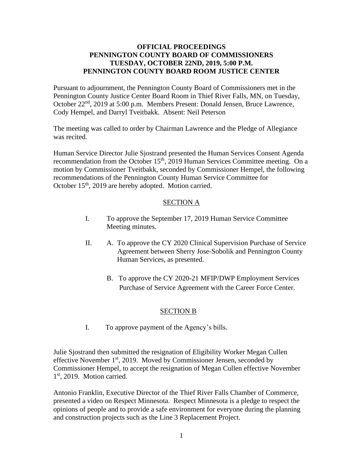## **OFFICIAL PROCEEDINGS PENNINGTON COUNTY BOARD OF COMMISSIONERS TUESDAY, OCTOBER 22ND, 2019, 5:00 P.M. PENNINGTON COUNTY BOARD ROOM JUSTICE CENTER**

Pursuant to adjournment, the Pennington County Board of Commissioners met in the Pennington County Justice Center Board Room in Thief River Falls, MN, on Tuesday, October 22<sup>nd</sup>, 2019 at 5:00 p.m. Members Present: Donald Jensen, Bruce Lawrence, Cody Hempel, and Darryl Tveitbakk. Absent: Neil Peterson

The meeting was called to order by Chairman Lawrence and the Pledge of Allegiance was recited.

Human Service Director Julie Sjostrand presented the Human Services Consent Agenda recommendation from the October 15<sup>th</sup>, 2019 Human Services Committee meeting. On a motion by Commissioner Tveitbakk, seconded by Commissioner Hempel, the following recommendations of the Pennington County Human Service Committee for October 15<sup>th</sup>, 2019 are hereby adopted. Motion carried.

## SECTION A

- I. To approve the September 17, 2019 Human Service Committee Meeting minutes.
- II. A. To approve the CY 2020 Clinical Supervision Purchase of Service Agreement between Sherry Jose-Sobolik and Pennington County Human Services, as presented.
	- B. To approve the CY 2020-21 MFIP/DWP Employment Services Purchase of Service Agreement with the Career Force Center.

## SECTION B

I. To approve payment of the Agency's bills.

Julie Sjostrand then submitted the resignation of Eligibility Worker Megan Cullen effective November  $1<sup>st</sup>$ , 2019. Moved by Commissioner Jensen, seconded by Commissioner Hempel, to accept the resignation of Megan Cullen effective November 1st, 2019. Motion carried.

Antonio Franklin, Executive Director of the Thief River Falls Chamber of Commerce, presented a video on Respect Minnesota. Respect Minnesota is a pledge to respect the opinions of people and to provide a safe environment for everyone during the planning and construction projects such as the Line 3 Replacement Project.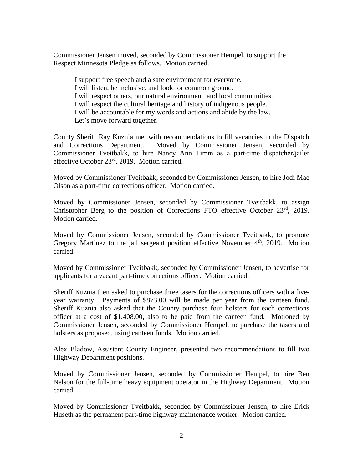Commissioner Jensen moved, seconded by Commissioner Hempel, to support the Respect Minnesota Pledge as follows. Motion carried.

I support free speech and a safe environment for everyone. I will listen, be inclusive, and look for common ground. I will respect others, our natural environment, and local communities. I will respect the cultural heritage and history of indigenous people. I will be accountable for my words and actions and abide by the law. Let's move forward together.

County Sheriff Ray Kuznia met with recommendations to fill vacancies in the Dispatch and Corrections Department. Moved by Commissioner Jensen, seconded by Commissioner Tveitbakk, to hire Nancy Ann Timm as a part-time dispatcher/jailer effective October 23rd, 2019. Motion carried.

Moved by Commissioner Tveitbakk, seconded by Commissioner Jensen, to hire Jodi Mae Olson as a part-time corrections officer. Motion carried.

Moved by Commissioner Jensen, seconded by Commissioner Tveitbakk, to assign Christopher Berg to the position of Corrections FTO effective October 23rd, 2019. Motion carried.

Moved by Commissioner Jensen, seconded by Commissioner Tveitbakk, to promote Gregory Martinez to the jail sergeant position effective November  $4<sup>th</sup>$ , 2019. Motion carried.

Moved by Commissioner Tveitbakk, seconded by Commissioner Jensen, to advertise for applicants for a vacant part-time corrections officer. Motion carried.

Sheriff Kuznia then asked to purchase three tasers for the corrections officers with a fiveyear warranty. Payments of \$873.00 will be made per year from the canteen fund. Sheriff Kuznia also asked that the County purchase four holsters for each corrections officer at a cost of \$1,408.00, also to be paid from the canteen fund. Motioned by Commissioner Jensen, seconded by Commissioner Hempel, to purchase the tasers and holsters as proposed, using canteen funds. Motion carried.

Alex Bladow, Assistant County Engineer, presented two recommendations to fill two Highway Department positions.

Moved by Commissioner Jensen, seconded by Commissioner Hempel, to hire Ben Nelson for the full-time heavy equipment operator in the Highway Department. Motion carried.

Moved by Commissioner Tveitbakk, seconded by Commissioner Jensen, to hire Erick Huseth as the permanent part-time highway maintenance worker. Motion carried.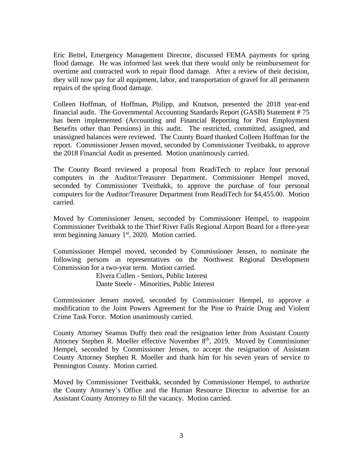Eric Beitel, Emergency Management Director, discussed FEMA payments for spring flood damage. He was informed last week that there would only be reimbursement for overtime and contracted work to repair flood damage. After a review of their decision, they will now pay for all equipment, labor, and transportation of gravel for all permanent repairs of the spring flood damage.

Colleen Hoffman, of Hoffman, Philipp, and Knutson, presented the 2018 year-end financial audit. The Governmental Accounting Standards Report (GASB) Statement # 75 has been implemented (Accounting and Financial Reporting for Post Employment Benefits other than Pensions) in this audit. The restricted, committed, assigned, and unassigned balances were reviewed. The County Board thanked Colleen Hoffman for the report. Commissioner Jensen moved, seconded by Commissioner Tveitbakk, to approve the 2018 Financial Audit as presented. Motion unanimously carried.

The County Board reviewed a proposal from ReadiTech to replace four personal computers in the Auditor/Treasurer Department. Commissioner Hempel moved, seconded by Commissioner Tveitbakk, to approve the purchase of four personal computers for the Auditor/Treasurer Department from ReadiTech for \$4,455.00. Motion carried.

Moved by Commissioner Jensen, seconded by Commissioner Hempel, to reappoint Commissioner Tveitbakk to the Thief River Falls Regional Airport Board for a three-year term beginning January  $1<sup>st</sup>$ , 2020. Motion carried.

Commissioner Hempel moved, seconded by Commissioner Jensen, to nominate the following persons as representatives on the Northwest Regional Development Commission for a two-year term. Motion carried.

> Elvera Cullen - Seniors, Public Interest Dante Steele - Minorities, Public Interest

Commissioner Jensen moved, seconded by Commissioner Hempel, to approve a modification to the Joint Powers Agreement for the Pine to Prairie Drug and Violent Crime Task Force. Motion unanimously carried.

County Attorney Seamus Duffy then read the resignation letter from Assistant County Attorney Stephen R. Moeller effective November 8<sup>th</sup>, 2019. Moved by Commissioner Hempel, seconded by Commissioner Jensen, to accept the resignation of Assistant County Attorney Stephen R. Moeller and thank him for his seven years of service to Pennington County. Motion carried.

Moved by Commissioner Tveitbakk, seconded by Commissioner Hempel, to authorize the County Attorney's Office and the Human Resource Director to advertise for an Assistant County Attorney to fill the vacancy. Motion carried.